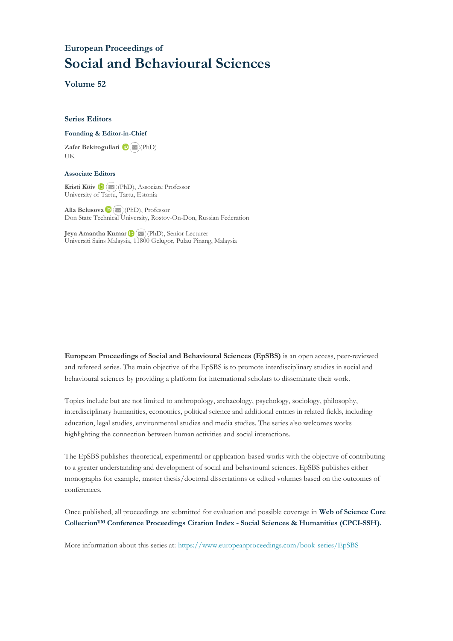## **European Proceedings of Social and Behavioural Sciences**

**Volume 52**

#### **Series Editors**

#### **Founding & Editor-in-Chief**

**Zafer Bekirogullari**(PhD) UK

#### **Associate Editors**

**Kristi Köiv** (PhD), Associate Professor University of Tartu, Tartu, Estonia

**Alla Belusova**(PhD), Professor Don State Technical University, Rostov-On-Don, Russian Federation

**Jeya Amantha Kumar**(PhD), Senior Lecturer Universiti Sains Malaysia, [1180](mailto:amantha@usm.my)0 Gelugor, Pulau Pinang, Malaysia

**European Proceedings of Social and Behavioural Sciences (EpSBS)** is an open access, peer-reviewed and refereed series. The main objective of the EpSBS is to promote interdisciplinary studies in social and behavioural sciences by providing a platform for international scholars to disseminate their work.

Topics include but are not limited to anthropology, archaeology, psychology, sociology, philosophy, interdisciplinary humanities, economics, political science and additional entries in related fields, including education, legal studies, environmental studies and media studies. The series also welcomes works highlighting the connection between human activities and social interactions.

The EpSBS publishes theoretical, experimental or application-based works with the objective of contributing to a greater understanding and development of social and behavioural sciences. EpSBS publishes either monographs for example, master thesis/doctoral dissertations or edited volumes based on the outcomes of conferences.

Once published, all proceedings are submitted for evaluation and possible coverage in **Web of [Science](https://clarivate.com/webofsciencegroup/solutions/webofscience-cpci/) Core Collection™ Conference Proceedings Citation Index - Social Sciences & Humanities [\(CPCI-SSH\).](https://clarivate.com/webofsciencegroup/solutions/webofscience-cpci/)**

More information about this series at[: https://www.europeanproceedings.com/book-series/EpSBS](https://www.europeanproceedings.com/book-series/EpSBS)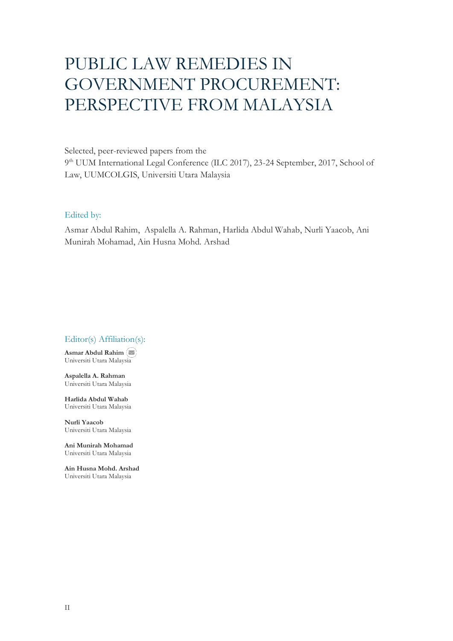# PUBLIC LAW REMEDIES IN GOVERNMENT PROCUREMENT: PERSPECTIVE FROM MALAYSIA

Selected, peer-reviewed papers from the 9<sup>th</sup> UUM International Legal Conference (ILC 2017), 23-24 September, 2017, School of Law, UUMCOLGIS, Universiti Utara Malaysia

#### Edited by:

Asmar Abdul Rahim, Aspalella A. Rahman, Harlida Abdul Wahab, Nurli Yaacob, Ani Munirah Mohamad, Ain Husna Mohd. Arshad

#### Editor(s) Affiliation(s):

**Asmar Abdul Rahim** Universiti Utara Malay[sia](mailto:asmar@uum.edu.my)

**Aspalella A. Rahman** Universiti Utara Malaysia

**Harlida Abdul Wahab** Universiti Utara Malaysia

**Nurli Yaacob** Universiti Utara Malaysia

**Ani Munirah Mohamad** Universiti Utara Malaysia

**Ain Husna Mohd. Arshad** Universiti Utara Malaysia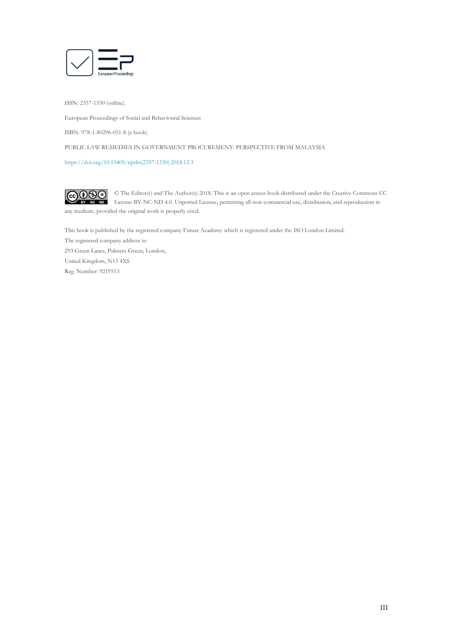

ISSN: 2357-1330 (online).

European Proceedings of Social and Behavioural Sciences

ISBN: 978-1-80296-051-8 (e-book)

PUBLIC LAW REMEDIES IN GOVERNMENT PROCUREMENT: PERSPECTIVE FROM MALAYSIA

[https://doi.org/10.15405/epsbs\(2357-1330\).2018.12.3](https://doi.org/10.15405/epsbs(2357-1330).2018.12.3)

 $\fbox{CD}$ © The Editor(s) and The Author(s) 2018. This is an open access book distributed under the Creative Commons CC License BY-NC-ND 4.0. Unported License, permitting all non-commercial use, distribution, and reproduction in  $\overline{ND}$ any medium, provided the original work is properly cited.

This book is published by the registered company Future Academy which is registered under the ISO London Limited. The registered company address is: 293 Green Lanes, Palmers Green, London, United Kingdom, N13 4XS Reg. Number: 9219513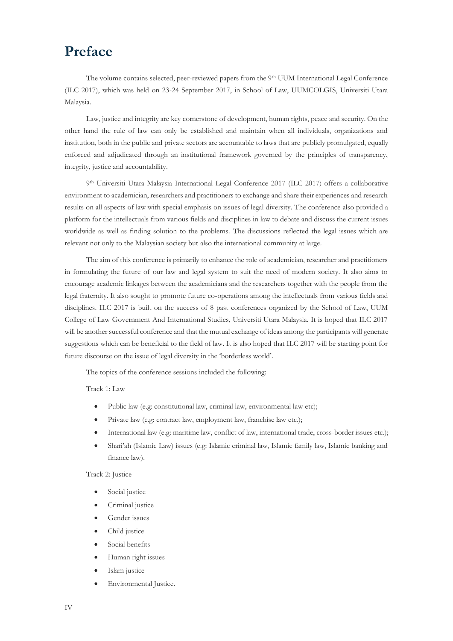# **Preface**

The volume contains selected, peer-reviewed papers from the 9th UUM International Legal Conference (ILC 2017), which was held on 23-24 September 2017, in School of Law, UUMCOLGIS, Universiti Utara Malaysia.

Law, justice and integrity are key cornerstone of development, human rights, peace and security. On the other hand the rule of law can only be established and maintain when all individuals, organizations and institution, both in the public and private sectors are accountable to laws that are publicly promulgated, equally enforced and adjudicated through an institutional framework governed by the principles of transparency, integrity, justice and accountability.

9 th Universiti Utara Malaysia International Legal Conference 2017 (ILC 2017) offers a collaborative environment to academician, researchers and practitioners to exchange and share their experiences and research results on all aspects of law with special emphasis on issues of legal diversity. The conference also provided a platform for the intellectuals from various fields and disciplines in law to debate and discuss the current issues worldwide as well as finding solution to the problems. The discussions reflected the legal issues which are relevant not only to the Malaysian society but also the international community at large.

The aim of this conference is primarily to enhance the role of academician, researcher and practitioners in formulating the future of our law and legal system to suit the need of modern society. It also aims to encourage academic linkages between the academicians and the researchers together with the people from the legal fraternity. It also sought to promote future co-operations among the intellectuals from various fields and disciplines. ILC 2017 is built on the success of 8 past conferences organized by the School of Law, UUM College of Law Government And International Studies, Universiti Utara Malaysia. It is hoped that ILC 2017 will be another successful conference and that the mutual exchange of ideas among the participants will generate suggestions which can be beneficial to the field of law. It is also hoped that ILC 2017 will be starting point for future discourse on the issue of legal diversity in the 'borderless world'.

The topics of the conference sessions included the following:

Track 1: Law

- Public law (e.g: constitutional law, criminal law, environmental law etc);
- Private law (e.g: contract law, employment law, franchise law etc.);
- International law (e.g: maritime law, conflict of law, international trade, cross-border issues etc.);
- Shari'ah (Islamic Law) issues (e.g: Islamic criminal law, Islamic family law, Islamic banking and finance law).

Track 2: Justice

- Social justice
- Criminal justice
- Gender issues
- Child justice
- Social benefits
- Human right issues
- Islam justice
- Environmental Justice.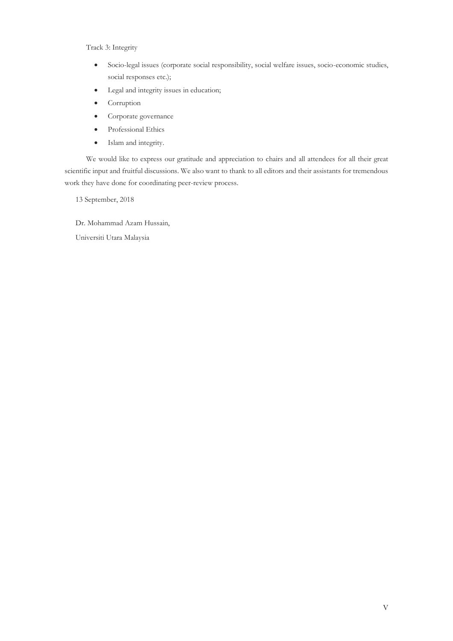Track 3: Integrity

- Socio-legal issues (corporate social responsibility, social welfare issues, socio-economic studies, social responses etc.);
- Legal and integrity issues in education;
- Corruption
- Corporate governance
- Professional Ethics
- Islam and integrity.

We would like to express our gratitude and appreciation to chairs and all attendees for all their great scientific input and fruitful discussions. We also want to thank to all editors and their assistants for tremendous work they have done for coordinating peer-review process.

13 September, 2018

Dr. Mohammad Azam Hussain, Universiti Utara Malaysia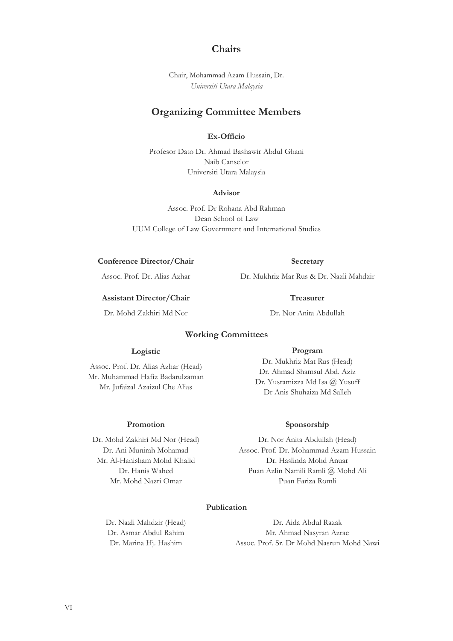#### **Chairs**

Chair, Mohammad Azam Hussain, Dr. *Universiti Utara Malaysia*

### **Organizing Committee Members**

#### **Ex-Officio**

Profesor Dato Dr. Ahmad Bashawir Abdul Ghani Naib Canselor Universiti Utara Malaysia

#### **Advisor**

Assoc. Prof. Dr Rohana Abd Rahman Dean School of Law UUM College of Law Government and International Studies

#### **Conference Director/Chair**

Assoc. Prof. Dr. Alias Azhar

#### **Assistant Director/Chair**

Dr. Mohd Zakhiri Md Nor

**Secretary** Dr. Mukhriz Mar Rus & Dr. Nazli Mahdzir

> **Treasurer** Dr. Nor Anita Abdullah

### **Working Committees**

#### **Logistic**

Assoc. Prof. Dr. Alias Azhar (Head) Mr. Muhammad Hafiz Badarulzaman Mr. Jufaizal Azaizul Che Alias

**Promotion**

Dr. Mohd Zakhiri Md Nor (Head) Dr. Ani Munirah Mohamad Mr. Al-Hanisham Mohd Khalid Dr. Hanis Wahed Mr. Mohd Nazri Omar

#### **Program**

Dr. Mukhriz Mat Rus (Head) Dr. Ahmad Shamsul Abd. Aziz Dr. Yusramizza Md Isa @ Yusuff Dr Anis Shuhaiza Md Salleh

#### **Sponsorship**

Dr. Nor Anita Abdullah (Head) Assoc. Prof. Dr. Mohammad Azam Hussain Dr. Haslinda Mohd Anuar Puan Azlin Namili Ramli @ Mohd Ali Puan Fariza Romli

#### **Publication**

Dr. Nazli Mahdzir (Head) Dr. Asmar Abdul Rahim Dr. Marina Hj. Hashim

Dr. Aida Abdul Razak Mr. Ahmad Nasyran Azrae Assoc. Prof. Sr. Dr Mohd Nasrun Mohd Nawi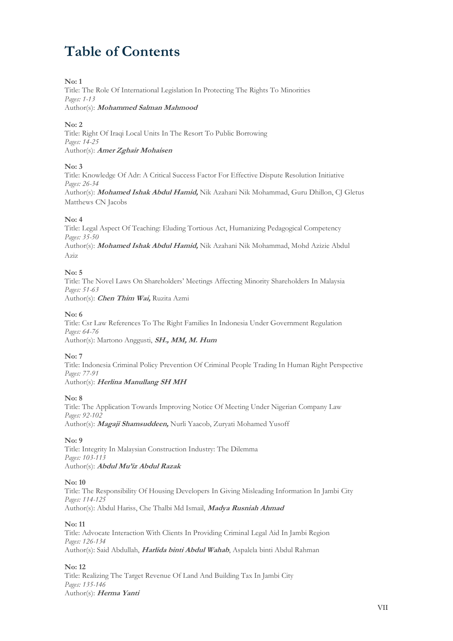# **Table of Contents**

#### **No: 1**

Title: The Role Of International Legislation In Protecting The Rights To Minorities *Pages: 1-13* Author(s): **Mohammed Salman Mahmood**

#### **No: 2**

Title: Right Of Iraqi Local Units In The Resort To Public Borrowing *Pages: 14-25* Author(s): **Amer Zghair Mohaisen**

#### **No: 3**

Title: Knowledge Of Adr: A Critical Success Factor For Effective Dispute Resolution Initiative *Pages: 26-34* Author(s): **Mohamed Ishak Abdul Hamid,** Nik Azahani Nik Mohammad, Guru Dhillon, CJ Gletus Matthews CN Jacobs

#### **No: 4**

Title: Legal Aspect Of Teaching: Eluding Tortious Act, Humanizing Pedagogical Competency *Pages: 35-50* Author(s): **Mohamed Ishak Abdul Hamid,** Nik Azahani Nik Mohammad, Mohd Azizie Abdul Aziz

#### **No: 5**

Title: The Novel Laws On Shareholders' Meetings Affecting Minority Shareholders In Malaysia *Pages: 51-63* Author(s): **Chen Thim Wai,** Ruzita Azmi

#### **No: 6**

Title: Csr Law References To The Right Families In Indonesia Under Government Regulation *Pages: 64-76* Author(s): Martono Anggusti, **SH., MM, M. Hum**

#### **No: 7**

Title: Indonesia Criminal Policy Prevention Of Criminal People Trading In Human Right Perspective *Pages: 77-91* Author(s): **Herlina Manullang SH MH**

#### **No: 8**

Title: The Application Towards Improving Notice Of Meeting Under Nigerian Company Law *Pages: 92-102* Author(s): **Magaji Shamsuddeen,** Nurli Yaacob, Zuryati Mohamed Yusoff

**No: 9**

Title: Integrity In Malaysian Construction Industry: The Dilemma *Pages: 103-113* Author(s): **Abdul Mu'iz Abdul Razak**

#### **No: 10**

Title: The Responsibility Of Housing Developers In Giving Misleading Information In Jambi City *Pages: 114-125* Author(s): Abdul Hariss, Che Thalbi Md Ismail, **Madya Rusniah Ahmad**

#### **No: 11**

Title: Advocate Interaction With Clients In Providing Criminal Legal Aid In Jambi Region *Pages: 126-134* Author(s): Said Abdullah, **Harlida binti Abdul Wahab**, Aspalela binti Abdul Rahman

#### **No: 12**

Title: Realizing The Target Revenue Of Land And Building Tax In Jambi City *Pages: 135-146* Author(s): **Herma Yanti**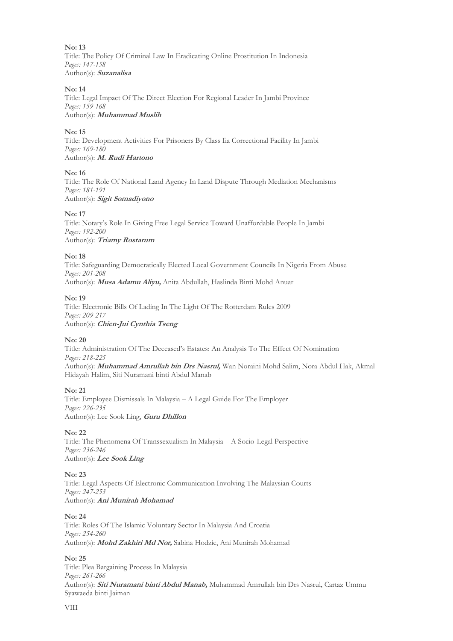**No: 13** Title: The Policy Of Criminal Law In Eradicating Online Prostitution In Indonesia *Pages: 147-158* Author(s): **Suzanalisa**

#### **No: 14**

Title: Legal Impact Of The Direct Election For Regional Leader In Jambi Province *Pages: 159-168* Author(s): **Muhammad Muslih**

#### **No: 15**

Title: Development Activities For Prisoners By Class Iia Correctional Facility In Jambi *Pages: 169-180* Author(s): **M. Rudi Hartono**

#### **No: 16**

Title: The Role Of National Land Agency In Land Dispute Through Mediation Mechanisms *Pages: 181-191* Author(s): **Sigit Somadiyono**

#### **No: 17**

Title: Notary's Role In Giving Free Legal Service Toward Unaffordable People In Jambi *Pages: 192-200* Author(s): **Triamy Rostarum**

#### **No: 18**

Title: Safeguarding Democratically Elected Local Government Councils In Nigeria From Abuse *Pages: 201-208* Author(s): **Musa Adamu Aliyu,** Anita Abdullah, Haslinda Binti Mohd Anuar

#### **No: 19**

Title: Electronic Bills Of Lading In The Light Of The Rotterdam Rules 2009 *Pages: 209-217* Author(s): **Chien-Jui Cynthia Tseng**

#### **No: 20**

Title: Administration Of The Deceased's Estates: An Analysis To The Effect Of Nomination *Pages: 218-225* Author(s): **Muhammad Amrullah bin Drs Nasrul,** Wan Noraini Mohd Salim, Nora Abdul Hak, Akmal Hidayah Halim, Siti Nuramani binti Abdul Manab

#### **No: 21**

Title: Employee Dismissals In Malaysia – A Legal Guide For The Employer *Pages: 226-235* Author(s): Lee Sook Ling, **Guru Dhillon**

#### **No: 22**

Title: The Phenomena Of Transsexualism In Malaysia – A Socio-Legal Perspective *Pages: 236-246* Author(s): **Lee Sook Ling**

#### **No: 23**

Title: Legal Aspects Of Electronic Communication Involving The Malaysian Courts *Pages: 247-253* Author(s): **Ani Munirah Mohamad**

#### **No: 24**

Title: Roles Of The Islamic Voluntary Sector In Malaysia And Croatia *Pages: 254-260* Author(s): **Mohd Zakhiri Md Nor,** Sabina Hodzic, Ani Munirah Mohamad

#### **No: 25**

Title: Plea Bargaining Process In Malaysia *Pages: 261-266* Author(s): **Siti Nuramani binti Abdul Manab,** Muhammad Amrullah bin Drs Nasrul, Cartaz Ummu Syawaeda binti Jaiman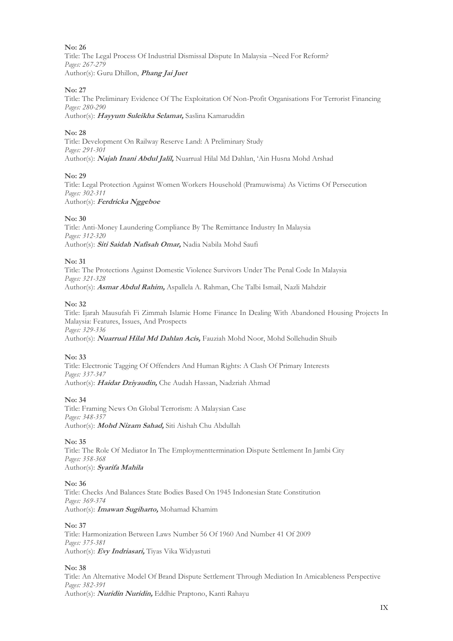Title: The Legal Process Of Industrial Dismissal Dispute In Malaysia –Need For Reform? *Pages: 267-279* Author(s): Guru Dhillon, **Phang Jai Juet**

#### **No: 27**

Title: The Preliminary Evidence Of The Exploitation Of Non-Profit Organisations For Terrorist Financing *Pages: 280-290* Author(s): **Hayyum Suleikha Selamat,** Saslina Kamaruddin

#### **No: 28**

Title: Development On Railway Reserve Land: A Preliminary Study *Pages: 291-301* Author(s): **Najah Inani Abdul Jalil,** Nuarrual Hilal Md Dahlan, 'Ain Husna Mohd Arshad

#### **No: 29**

Title: Legal Protection Against Women Workers Household (Pramuwisma) As Victims Of Persecution *Pages: 302-311* Author(s): **Ferdricka Nggeboe**

#### **No: 30**

Title: Anti-Money Laundering Compliance By The Remittance Industry In Malaysia *Pages: 312-320* Author(s): **Siti Saidah Nafisah Omar,** Nadia Nabila Mohd Saufi

#### **No: 31**

Title: The Protections Against Domestic Violence Survivors Under The Penal Code In Malaysia *Pages: 321-328* Author(s): **Asmar Abdul Rahim,** Aspallela A. Rahman, Che Talbi Ismail, Nazli Mahdzir

#### **No: 32**

Title: Ijarah Mausufah Fi Zimmah Islamic Home Finance In Dealing With Abandoned Housing Projects In Malaysia: Features, Issues, And Prospects *Pages: 329-336*

Author(s): **Nuarrual Hilal Md Dahlan Acis,** Fauziah Mohd Noor, Mohd Sollehudin Shuib

#### **No: 33**

Title: Electronic Tagging Of Offenders And Human Rights: A Clash Of Primary Interests *Pages: 337-347* Author(s): **Haidar Dziyaudin,** Che Audah Hassan, Nadzriah Ahmad

#### **No: 34**

Title: Framing News On Global Terrorism: A Malaysian Case *Pages: 348-357* Author(s): **Mohd Nizam Sahad,** Siti Aishah Chu Abdullah

#### **No: 35**

Title: The Role Of Mediator In The Employmenttermination Dispute Settlement In Jambi City *Pages: 358-368* Author(s): **Syarifa Mahila**

#### **No: 36**

Title: Checks And Balances State Bodies Based On 1945 Indonesian State Constitution *Pages: 369-374* Author(s): **Imawan Sugiharto,** Mohamad Khamim

#### **No: 37**

Title: Harmonization Between Laws Number 56 Of 1960 And Number 41 Of 2009 *Pages: 375-381* Author(s): **Evy Indriasari,** Tiyas Vika Widyastuti

#### **No: 38**

Title: An Alternative Model Of Brand Dispute Settlement Through Mediation In Amicableness Perspective *Pages: 382-391* Author(s): **Nuridin Nuridin,** Eddhie Praptono, Kanti Rahayu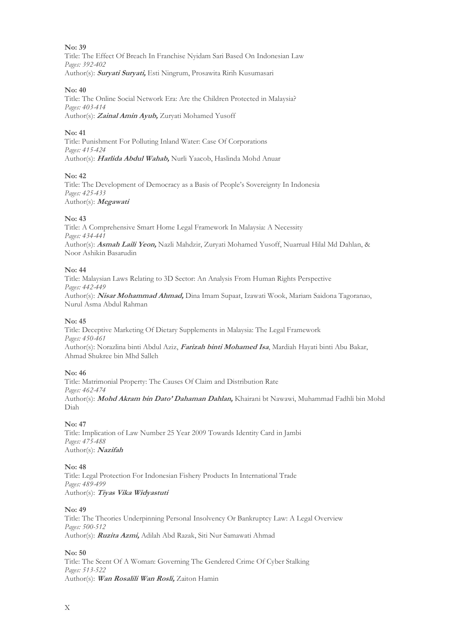Title: The Effect Of Breach In Franchise Nyidam Sari Based On Indonesian Law *Pages: 392-402* Author(s): **Suryati Suryati,** Esti Ningrum, Prosawita Ririh Kusumasari

#### **No: 40**

Title: The Online Social Network Era: Are the Children Protected in Malaysia? *Pages: 403-414* Author(s): **Zainal Amin Ayub,** Zuryati Mohamed Yusoff

#### **No: 41**

Title: Punishment For Polluting Inland Water: Case Of Corporations *Pages: 415-424* Author(s): **Harlida Abdul Wahab,** Nurli Yaacob, Haslinda Mohd Anuar

#### **No: 42**

Title: The Development of Democracy as a Basis of People's Sovereignty In Indonesia *Pages: 425-433* Author(s): **Megawati**

#### **No: 43**

Title: A Comprehensive Smart Home Legal Framework In Malaysia: A Necessity *Pages: 434-441* Author(s): **Asmah Laili Yeon,** Nazli Mahdzir, Zuryati Mohamed Yusoff, Nuarrual Hilal Md Dahlan, & Noor Ashikin Basarudin

#### **No: 44**

Title: Malaysian Laws Relating to 3D Sector: An Analysis From Human Rights Perspective *Pages: 442-449* Author(s): **Nisar Mohammad Ahmad,** Dina Imam Supaat, Izawati Wook, Mariam Saidona Tagoranao, Nurul Asma Abdul Rahman

#### **No: 45**

Title: Deceptive Marketing Of Dietary Supplements in Malaysia: The Legal Framework *Pages: 450-461* Author(s): Norazlina binti Abdul Aziz, **Farizah binti Mohamed Isa**, Mardiah Hayati binti Abu Bakar, Ahmad Shukree bin Mhd Salleh

#### **No: 46**

Title: Matrimonial Property: The Causes Of Claim and Distribution Rate *Pages: 462-474* Author(s): **Mohd Akram bin Dato' Dahaman Dahlan,** Khairani bt Nawawi, Muhammad Fadhli bin Mohd Diah

#### **No: 47**

Title: Implication of Law Number 25 Year 2009 Towards Identity Card in Jambi *Pages: 475-488* Author(s): **Nazifah**

#### **No: 48**

Title: Legal Protection For Indonesian Fishery Products In International Trade *Pages: 489-499* Author(s): **Tiyas Vika Widyastuti**

#### **No: 49**

Title: The Theories Underpinning Personal Insolvency Or Bankruptcy Law: A Legal Overview *Pages: 500-512* Author(s): **Ruzita Azmi,** Adilah Abd Razak, Siti Nur Samawati Ahmad

#### **No: 50**

Title: The Scent Of A Woman: Governing The Gendered Crime Of Cyber Stalking *Pages: 513-522* Author(s): **Wan Rosalili Wan Rosli,** Zaiton Hamin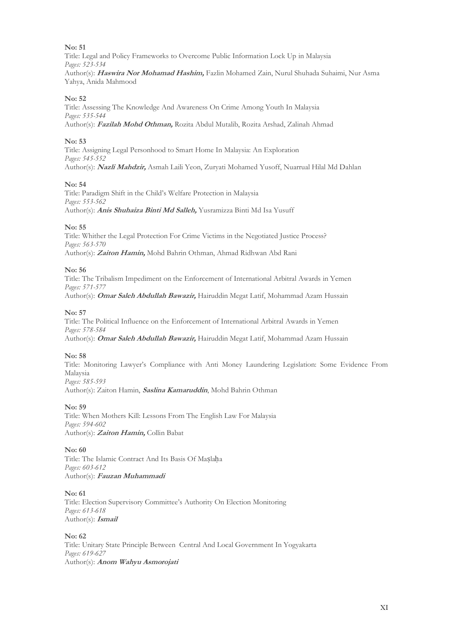Title: Legal and Policy Frameworks to Overcome Public Information Lock Up in Malaysia *Pages: 523-534* Author(s): **Haswira Nor Mohamad Hashim,** Fazlin Mohamed Zain, Nurul Shuhada Suhaimi, Nur Asma Yahya, Anida Mahmood

#### **No: 52**

Title: Assessing The Knowledge And Awareness On Crime Among Youth In Malaysia *Pages: 535-544* Author(s): **Fazilah Mohd Othman,** Rozita Abdul Mutalib, Rozita Arshad, Zalinah Ahmad

#### **No: 53**

Title: Assigning Legal Personhood to Smart Home In Malaysia: An Exploration *Pages: 545-552* Author(s): **Nazli Mahdzir,** Asmah Laili Yeon, Zuryati Mohamed Yusoff, Nuarrual Hilal Md Dahlan

#### **No: 54**

Title: Paradigm Shift in the Child's Welfare Protection in Malaysia *Pages: 553-562* Author(s): **Anis Shuhaiza Binti Md Salleh,** Yusramizza Binti Md Isa Yusuff

#### **No: 55**

Title: Whither the Legal Protection For Crime Victims in the Negotiated Justice Process? *Pages: 563-570* Author(s): **Zaiton Hamin,** Mohd Bahrin Othman, Ahmad Ridhwan Abd Rani

#### **No: 56**

Title: The Tribalism Impediment on the Enforcement of International Arbitral Awards in Yemen *Pages: 571-577* Author(s): **Omar Saleh Abdullah Bawazir,** Hairuddin Megat Latif, Mohammad Azam Hussain

#### **No: 57**

Title: The Political Influence on the Enforcement of International Arbitral Awards in Yemen *Pages: 578-584* Author(s): **Omar Saleh Abdullah Bawazir,** Hairuddin Megat Latif, Mohammad Azam Hussain

#### **No: 58**

Title: Monitoring Lawyer's Compliance with Anti Money Laundering Legislation: Some Evidence From Malaysia *Pages: 585-593* Author(s): Zaiton Hamin, **Saslina Kamaruddin**, Mohd Bahrin Othman

#### **No: 59**

Title: When Mothers Kill: Lessons From The English Law For Malaysia *Pages: 594-602* Author(s): **Zaiton Hamin,** Collin Babat

#### **No: 60**

Title: The Islamic Contract And Its Basis Of Maslaha *Pages: 603-612* Author(s): **Fauzan Muhammadi**

#### **No: 61**

Title: Election Supervisory Committee's Authority On Election Monitoring *Pages: 613-618* Author(s): **Ismail**

#### **No: 62**

Title: Unitary State Principle Between Central And Local Government In Yogyakarta *Pages: 619-627* Author(s): **Anom Wahyu Asmorojati**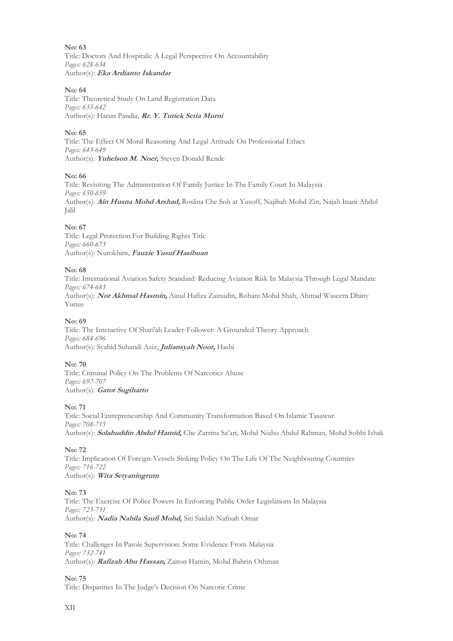**No: 63** Title: Doctors And Hospitals: A Legal Perspective On Accountability *Pages: 628-634* Author(s): **Eka Ardianto Iskandar**

#### **No: 64**

Title: Theoretical Study On Land Registration Data *Pages: 635-642* Author(s): Harun Pandia, **Rr. Y. Tutiek Setia Murni**

#### **No: 65**

Title: The Effect Of Moral Reasoning And Legal Attitude On Professional Ethics *Pages: 643-649* Author(s): **Yuhelson M. Noer,** Steven Donald Rende

#### **No: 66**

Title: Revisiting The Administration Of Family Justice In The Family Court In Malaysia *Pages: 650-659* Author(s): **Ain Husna Mohd Arshad,** Roslina Che Soh at Yusoff, Najibah Mohd Zin, Najah Inani Abdul Jalil

#### **No: 67**

Title: Legal Protection For Building Rights Title *Pages: 660-673* Author(s): Nurokhim, **Fauzie Yusuf Hasibuan**

#### **No: 68**

Title: International Aviation Safety Standard: Reducing Aviation Risk In Malaysia Through Legal Mandate *Pages: 674-683* Author(s): **Nor Akhmal Hasmin,** Ainul Hafiza Zainudin, Rohani Mohd Shah, Ahmad Waseem Dhiny Yunus

#### **No: 69**

Title: The Interactive Of Shari'ah Leader-Follower: A Grounded Theory Approach *Pages: 684-696* Author(s): Syahid Suhandi Aziz, **Juliansyah Noor,** Hasbi

#### **No: 70**

Title: Criminal Policy On The Problems Of Narcotics Abuse *Pages: 697-707* Author(s): **Gatot Sugiharto**

#### **No: 71**

Title: Social Entrepreneurship And Community Transformation Based On Islamic Tasawur *Pages: 708-715* Author(s): **Solahuddin Abdul Hamid,** Che Zarrina Sa'ari, Mohd Nizho Abdul Rahman, Mohd Sobhi Ishak

#### **No: 72**

Title: Implication Of Foreign-Vessels Sinking Policy On The Life Of The Neighbouring Countries *Pages: 716-722* Author(s): **Wita Setyaningrum**

#### **No: 73**

Title: The Exercise Of Police Powers In Enforcing Public Order Legislations In Malaysia *Pages: 723-731* Author(s): **Nadia Nabila Saufi Mohd,** Siti Saidah Nafisah Omar

#### **No: 74**

Title: Challenges In Parole Supervision: Some Evidence From Malaysia *Pages: 732-741* Author(s): **Rafizah Abu Hassan,** Zaiton Hamin, Mohd Bahrin Othman

**No: 75**

Title: Disparities In The Judge's Decision On Narcotic Crime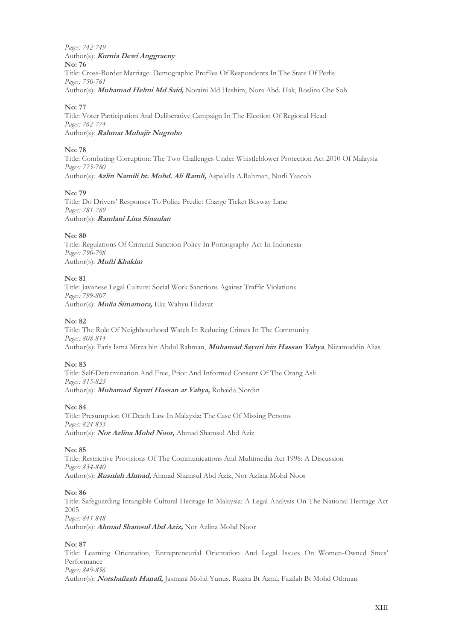*Pages: 742-749* Author(s): **Kurnia Dewi Anggraeny No: 76** Title: Cross-Border Marriage: Demographic Profiles Of Respondents In The State Of Perlis *Pages: 750-761* Author(s): **Muhamad Helmi Md Said,** Noraini Md Hashim, Nora Abd. Hak, Roslina Che Soh

#### **No: 77**

Title: Voter Participation And Deliberative Campaign In The Election Of Regional Head *Pages: 762-774* Author(s): **Rahmat Muhajir Nugroho**

#### **No: 78**

Title: Combating Corruption: The Two Challenges Under Whistleblower Protection Act 2010 Of Malaysia *Pages: 775-780* Author(s): **Azlin Namili bt. Mohd. Ali Ramli,** Aspalella A.Rahman, Nurli Yaacob

#### **No: 79**

Title: Do Drivers' Responses To Police Predict Charge Ticket Busway Lane *Pages: 781-789* Author(s): **Ramlani Lina Sinaulan**

#### **No: 80**

Title: Regulations Of Criminal Sanction Policy In Pornography Act In Indonesia *Pages: 790-798* Author(s): **Mufti Khakim**

#### **No: 81**

Title: Javanese Legal Culture: Social Work Sanctions Against Traffic Violations *Pages: 799-807* Author(s): **Mulia Simamora,** Eka Wahyu Hidayat

#### **No: 82**

Title: The Role Of Neighbourhood Watch In Reducing Crimes In The Community *Pages: 808-814* Author(s): Faris Isma Mirza bin Abdul Rahman, **Muhamad Sayuti bin Hassan Yahya**, Nizamuddin Alias

#### **No: 83**

Title: Self-Determination And Free, Prior And Informed Consent Of The Orang Asli *Pages: 815-823* Author(s): **Muhamad Sayuti Hassan at Yahya,** Rohaida Nordin

#### **No: 84**

Title: Presumption Of Death Law In Malaysia: The Case Of Missing Persons *Pages: 824-833* Author(s): **Nor Azlina Mohd Noor,** Ahmad Shamsul Abd Aziz

#### **No: 85**

Title: Restrictive Provisions Of The Communications And Multimedia Act 1998: A Discussion *Pages: 834-840* Author(s): **Rusniah Ahmad,** Ahmad Shamsul Abd Aziz, Nor Azlina Mohd Noor

#### **No: 86**

Title: Safeguarding Intangible Cultural Heritage In Malaysia: A Legal Analysis On The National Heritage Act 2005 *Pages: 841-848*

Author(s): **Ahmad Shamsul Abd Aziz,** Nor Azlina Mohd Noor

#### **No: 87**

Title: Learning Orientation, Entrepreneurial Orientation And Legal Issues On Women-Owned Smes' Performance *Pages: 849-856*

Author(s): **Norshafizah Hanafi,** Jasmani Mohd Yunus, Ruzita Bt Azmi, Fazilah Bt Mohd Othman